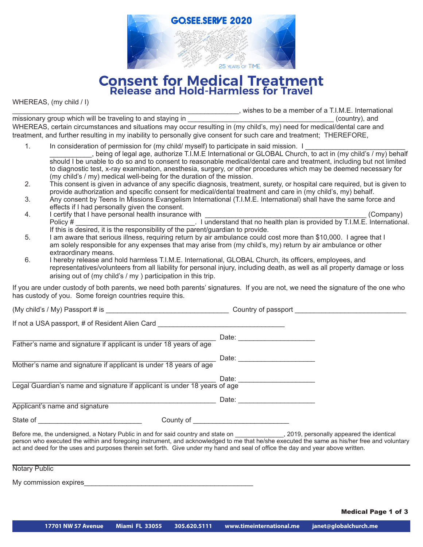

# **Consent for Medical Treatment Release and Hold-Harmless for Travel**

WHEREAS, (my child / I)

\_\_\_\_\_\_\_\_\_\_\_\_\_\_\_\_\_\_\_\_\_\_\_\_\_\_\_\_\_\_\_\_\_\_\_\_\_\_\_\_\_\_\_\_\_\_\_\_\_\_\_\_\_\_\_\_\_\_\_, wishes to be a member of a T.I.M.E. International

missionary group which will be traveling to and staying in example of the state of the state of the state of the state of the state of the state of the state of the state of the state of the state of the state of the state WHEREAS, certain circumstances and situations may occur resulting in (my child's, my) need for medical/dental care and treatment, and further resulting in my inability to personally give consent for such care and treatment; THEREFORE,

- 1. In consideration of permission for (my child/ myself) to participate in said mission. I \_\_\_\_\_\_\_\_\_\_\_, being of legal age, authorize T.I.M.E International or GLOBAL Church, to act in (my child's / my) behalf should I be unable to do so and to consent to reasonable medical/dental care and treatment, including but not limited to diagnostic test, x-ray examination, anesthesia, surgery, or other procedures which may be deemed necessary for (my child's / my) medical well-being for the duration of the mission.
- 2. This consent is given in advance of any specific diagnosis, treatment, surety, or hospital care required, but is given to provide authorization and specific consent for medical/dental treatment and care in (my child's, my) behalf.
- 3. Any consent by Teens In Missions Evangelism International (T.I.M.E. International) shall have the same force and effects if I had personally given the consent.<br>I certify that I have personal health insurance with
- 4. I certify that I have personal health insurance with \_\_\_\_\_\_\_\_\_\_\_\_\_\_\_\_\_\_\_\_\_\_\_\_\_\_\_\_\_\_\_\_\_\_\_\_\_\_\_\_\_\_ (Company) Policy # \_\_\_\_\_\_\_\_\_\_\_\_\_\_\_\_\_\_\_\_\_\_\_\_\_\_\_\_\_\_\_. I understand that no health plan is provided by T.I.M.E. International. If this is desired, it is the responsibility of the parent/guardian to provide.
- 5. I am aware that serious illness, requiring return by air ambulance could cost more than \$10,000. I agree that I am solely responsible for any expenses that may arise from (my child's, my) return by air ambulance or other extraordinary means.
- 6. I hereby release and hold harmless T.I.M.E. International, GLOBAL Church, its officers, employees, and representatives/volunteers from all liability for personal injury, including death, as well as all property damage or loss arising out of (my child's / my ) participation in this trip.

If you are under custody of both parents, we need both parents' signatures. If you are not, we need the signature of the one who has custody of you. Some foreign countries require this.

(My child's / My) Passport # is \_\_\_\_\_\_\_\_\_\_\_\_\_\_\_\_\_\_\_\_\_\_\_\_\_\_\_\_\_\_\_\_ Country of passport \_\_\_\_\_\_\_\_\_\_\_\_\_\_\_\_\_\_\_\_\_\_\_\_\_\_\_\_\_

If not a USA passport, # of Resident Alien Card \_\_\_\_\_\_\_\_\_\_\_\_\_\_\_\_\_\_\_\_\_\_\_\_\_\_\_\_\_\_\_\_\_\_\_\_\_\_\_\_\_\_\_\_\_\_\_\_\_\_\_\_\_ Date: \_\_\_\_\_\_\_\_\_\_\_\_\_\_\_\_\_\_\_\_ Father's name and signature if applicant is under 18 years of age \_\_\_\_\_\_\_\_\_\_\_\_\_\_\_\_\_\_\_\_\_\_\_\_\_\_\_\_\_\_\_\_\_\_\_\_\_\_\_\_\_\_\_\_\_\_\_\_\_\_\_\_\_ Date: \_\_\_\_\_\_\_\_\_\_\_\_\_\_\_\_\_\_\_\_ Mother's name and signature if applicant is under 18 years of age \_\_\_\_\_\_\_\_\_\_\_\_\_\_\_\_\_\_\_\_\_\_\_\_\_\_\_\_\_\_\_\_\_\_\_\_\_\_\_\_\_\_\_\_\_\_\_\_\_\_\_\_\_ Date: \_\_\_\_\_\_\_\_\_\_\_\_\_\_\_\_\_\_\_\_ Legal Guardian's name and signature if applicant is under 18 years of age \_\_\_\_\_\_\_\_\_\_\_\_\_\_\_\_\_\_\_\_\_\_\_\_\_\_\_\_\_\_\_\_\_\_\_\_\_\_\_\_\_\_\_\_\_\_\_\_\_\_\_\_\_ Date: \_\_\_\_\_\_\_\_\_\_\_\_\_\_\_\_\_\_\_\_ Applicant's name and signature

State of \_\_\_\_\_\_\_\_\_\_\_\_\_\_\_\_\_\_\_\_\_\_\_\_\_\_\_ County of \_\_\_\_\_\_\_\_\_\_\_\_\_\_\_\_\_\_\_\_\_\_\_\_\_

Before me, the undersigned, a Notary Public in and for said country and state on \_\_\_\_\_\_\_\_\_\_\_\_\_\_\_, 2019, personally appeared the identical person who executed the within and foregoing instrument, and acknowledged to me that he/she executed the same as his/her free and voluntary act and deed for the uses and purposes therein set forth. Give under my hand and seal of office the day and year above written.

Notary Public

My commission expires

Medical Page 1 of 3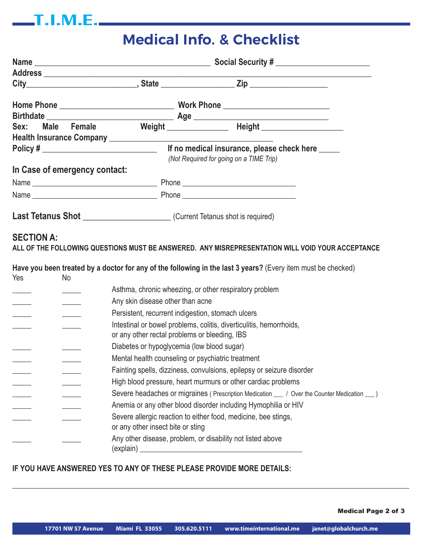# **Medical Info. & Checklist**

|  |                                                                                     | Social Security #                                |                                         |  |  |
|--|-------------------------------------------------------------------------------------|--------------------------------------------------|-----------------------------------------|--|--|
|  |                                                                                     |                                                  |                                         |  |  |
|  |                                                                                     |                                                  |                                         |  |  |
|  |                                                                                     |                                                  |                                         |  |  |
|  |                                                                                     |                                                  |                                         |  |  |
|  | Sex: Male Female Weight Meight Height Meight Network                                |                                                  |                                         |  |  |
|  |                                                                                     |                                                  |                                         |  |  |
|  | Policy # $\sqrt{ }$                                                                 | If no medical insurance, please check here _____ |                                         |  |  |
|  |                                                                                     |                                                  | (Not Required for going on a TIME Trip) |  |  |
|  | In Case of emergency contact:                                                       |                                                  |                                         |  |  |
|  |                                                                                     |                                                  |                                         |  |  |
|  |                                                                                     |                                                  |                                         |  |  |
|  | <b>Last Tetanus Shot</b> ________________________(Current Tetanus shot is required) |                                                  |                                         |  |  |

## **SECTION A:**

 $\qquad \qquad$  T.I.M.E.

**ALL OF THE FOLLOWING QUESTIONS MUST BE ANSWERED. ANY MISREPRESENTATION WILL VOID YOUR ACCEPTANCE**

| Yes | No. |                                                                                                                      |
|-----|-----|----------------------------------------------------------------------------------------------------------------------|
|     |     | Asthma, chronic wheezing, or other respiratory problem                                                               |
|     |     | Any skin disease other than acne                                                                                     |
|     |     | Persistent, recurrent indigestion, stomach ulcers                                                                    |
|     |     | Intestinal or bowel problems, colitis, diverticulitis, hemorrhoids,<br>or any other rectal problems or bleeding, IBS |
|     |     | Diabetes or hypoglycemia (low blood sugar)                                                                           |
|     |     | Mental health counseling or psychiatric treatment                                                                    |
|     |     | Fainting spells, dizziness, convulsions, epilepsy or seizure disorder                                                |
|     |     | High blood pressure, heart murmurs or other cardiac problems                                                         |
|     |     | Severe headaches or migraines (Prescription Medication __ / Over the Counter Medication __ )                         |
|     |     | Anemia or any other blood disorder including Hymophilia or HIV                                                       |
|     |     | Severe allergic reaction to either food, medicine, bee stings,<br>or any other insect bite or sting                  |
|     |     | Any other disease, problem, or disability not listed above<br>(explain)                                              |

#### **IF YOU HAVE ANSWERED YES TO ANY OF THESE PLEASE PROVIDE MORE DETAILS:**

Medical Page 2 of 3

**\_\_\_\_\_\_\_\_\_\_\_\_\_\_\_\_\_\_\_\_\_\_\_\_\_\_\_\_\_\_\_\_\_\_\_\_\_\_\_\_\_\_\_\_\_\_\_\_\_\_\_\_\_\_\_\_\_\_\_\_\_\_\_\_\_\_\_\_\_\_\_\_\_\_\_\_\_\_\_\_\_\_\_\_\_\_\_\_\_\_\_\_\_\_\_\_\_\_\_\_\_\_\_\_\_**